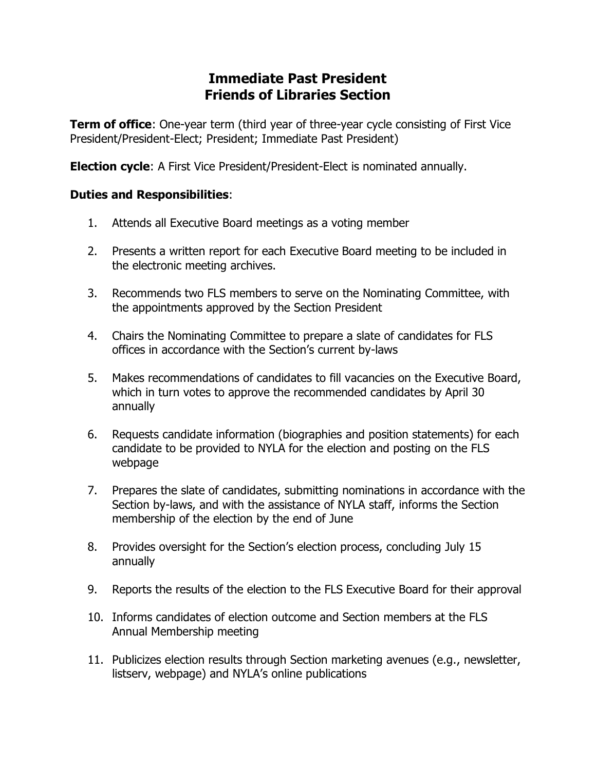## **Immediate Past President Friends of Libraries Section**

**Term of office**: One-year term (third year of three-year cycle consisting of First Vice President/President-Elect; President; Immediate Past President)

**Election cycle**: A First Vice President/President-Elect is nominated annually.

## **Duties and Responsibilities**:

- 1. Attends all Executive Board meetings as a voting member
- 2. Presents a written report for each Executive Board meeting to be included in the electronic meeting archives.
- 3. Recommends two FLS members to serve on the Nominating Committee, with the appointments approved by the Section President
- 4. Chairs the Nominating Committee to prepare a slate of candidates for FLS offices in accordance with the Section's current by-laws
- 5. Makes recommendations of candidates to fill vacancies on the Executive Board, which in turn votes to approve the recommended candidates by April 30 annually
- 6. Requests candidate information (biographies and position statements) for each candidate to be provided to NYLA for the election and posting on the FLS webpage
- 7. Prepares the slate of candidates, submitting nominations in accordance with the Section by-laws, and with the assistance of NYLA staff, informs the Section membership of the election by the end of June
- 8. Provides oversight for the Section's election process, concluding July 15 annually
- 9. Reports the results of the election to the FLS Executive Board for their approval
- 10. Informs candidates of election outcome and Section members at the FLS Annual Membership meeting
- 11. Publicizes election results through Section marketing avenues (e.g., newsletter, listserv, webpage) and NYLA's online publications